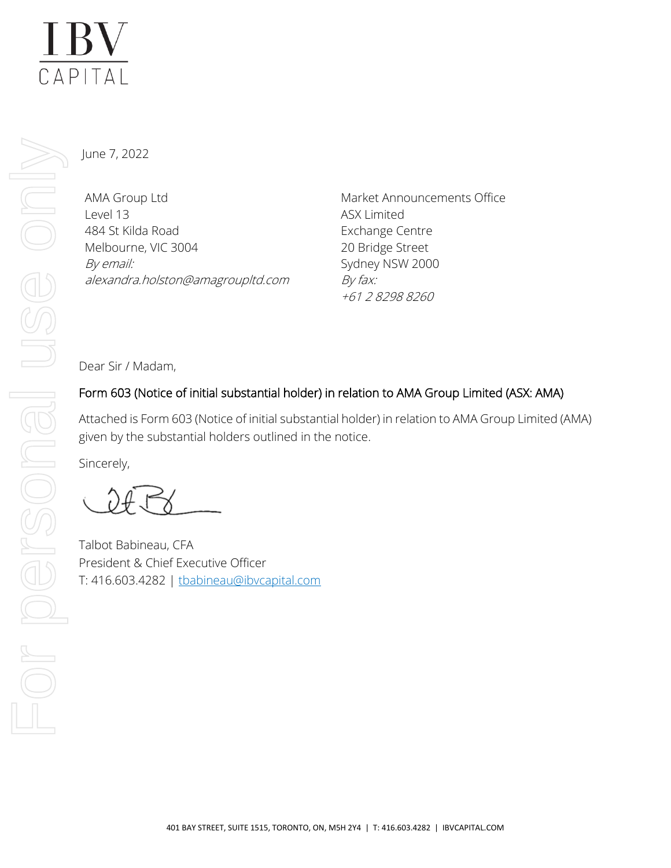# **IBV**  $\overline{CAP|TAI}$

June 7, 2022

AMA Group Ltd Level 13 484 St Kilda Road Melbourne, VIC 3004 By email: alexandra.holston@amagroupltd.com Market Announcements Office ASX Limited Exchange Centre 20 Bridge Street Sydney NSW 2000 By fax: +61 2 8298 8260

Dear Sir / Madam,

# Form 603 (Notice of initial substantial holder) in relation to AMA Group Limited (ASX: AMA)

Attached is Form 603 (Notice of initial substantial holder) in relation to AMA Group Limited (AMA) given by the substantial holders outlined in the notice.

Sincerely,

Talbot Babineau, CFA President & Chief Executive Officer T: 416.603.4282 | [tbabineau@ibvcapital.com](mailto:tbabineau@ibvcapital.com)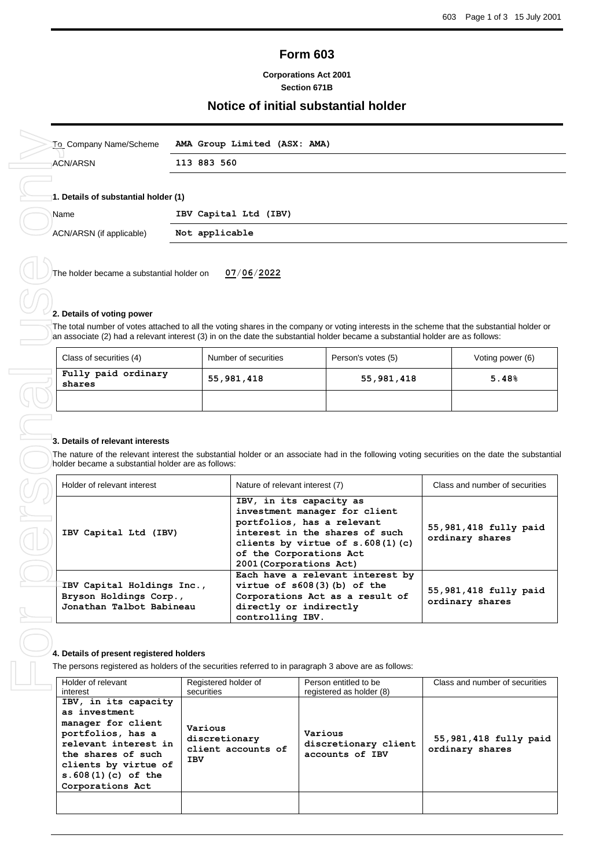# **Form 603**

## **Corporations Act 2001 Section 671B**

# **Notice of initial substantial holder**

| To Company Name/Scheme                       | AMA Group Limited (ASX: AMA) |  |  |  |  |
|----------------------------------------------|------------------------------|--|--|--|--|
| ACN/ARSN<br>113 883 560                      |                              |  |  |  |  |
| 1. Details of substantial holder (1)<br>Name | IBV Capital Ltd (IBV)        |  |  |  |  |
| ACN/ARSN (if applicable)                     | Not applicable               |  |  |  |  |
|                                              |                              |  |  |  |  |

The holder became a substantial holder on **07**/**06**/**2022**

## **2. Details of voting power**

The total number of votes attached to all the voting shares in the company or voting interests in the scheme that the substantial holder or an associate (2) had a relevant interest (3) in on the date the substantial holder became a substantial holder are as follows:

| Class of securities (4)       | Number of securities | Person's votes (5) | Voting power (6) |
|-------------------------------|----------------------|--------------------|------------------|
| Fully paid ordinary<br>shares | 55,981,418           | 55,981,418         | 5.48%            |
|                               |                      |                    |                  |

| 3. Details of relevant interests                                                 | The nature of the relevant interest the substantial holder or an associate had in the following voting securities on the date the substantia                                                                         |                                          |
|----------------------------------------------------------------------------------|----------------------------------------------------------------------------------------------------------------------------------------------------------------------------------------------------------------------|------------------------------------------|
| holder became a substantial holder are as follows:                               |                                                                                                                                                                                                                      |                                          |
| Holder of relevant interest                                                      | Nature of relevant interest (7)                                                                                                                                                                                      | Class and number of securities           |
| IBV Capital Ltd (IBV)                                                            | IBV, in its capacity as<br>investment manager for client<br>portfolios, has a relevant<br>interest in the shares of such<br>clients by virtue of $s.608(1)(c)$<br>of the Corporations Act<br>2001 (Corporations Act) | 55,981,418 fully paid<br>ordinary shares |
| IBV Capital Holdings Inc.,<br>Bryson Holdings Corp.,<br>Jonathan Talbot Babineau | Each have a relevant interest by<br>virtue of $s608(3)$ (b) of the<br>Corporations Act as a result of<br>directly or indirectly<br>controlling IBV.                                                                  | 55,981,418 fully paid<br>ordinary shares |

## **4. Details of present registered holders**

The persons registered as holders of the securities referred to in paragraph 3 above are as follows:

| Holder of relevant   | Registered holder of | Person entitled to be    | Class and number of securities |
|----------------------|----------------------|--------------------------|--------------------------------|
| interest             | securities           | registered as holder (8) |                                |
| IBV, in its capacity |                      |                          |                                |
| as investment        |                      |                          |                                |
| manager for client   | Various              |                          |                                |
| portfolios, has a    | discretionary        | Various                  | 55,981,418 fully paid          |
| relevant interest in | client accounts of   | discretionary client     | ordinary shares                |
| the shares of such   | <b>IBV</b>           | accounts of IBV          |                                |
| clients by virtue of |                      |                          |                                |
| $s.608(1)(c)$ of the |                      |                          |                                |
| Corporations Act     |                      |                          |                                |
|                      |                      |                          |                                |
|                      |                      |                          |                                |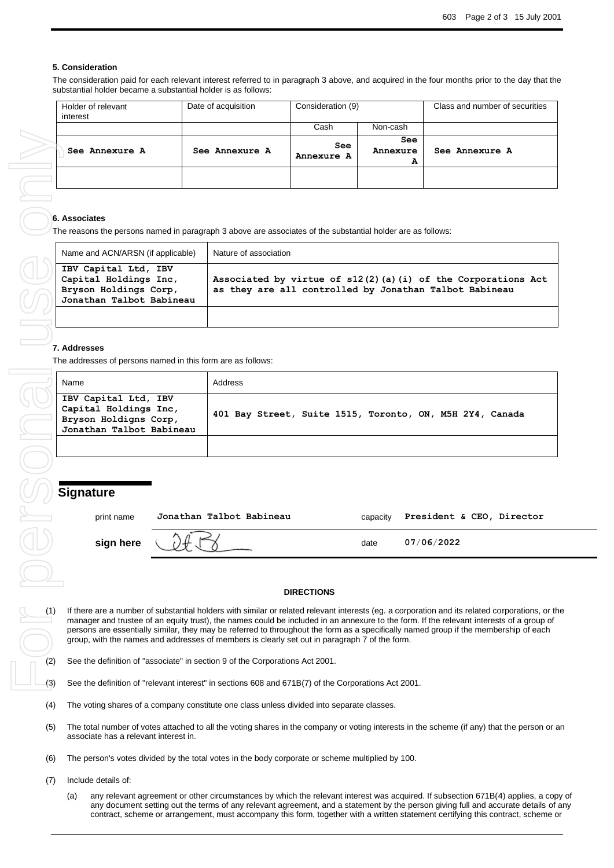#### **5. Consideration**

The consideration paid for each relevant interest referred to in paragraph 3 above, and acquired in the four months prior to the day that the substantial holder became a substantial holder is as follows:

| Holder of relevant<br>interest | Date of acquisition | Consideration (9) |                      | Class and number of securities |
|--------------------------------|---------------------|-------------------|----------------------|--------------------------------|
|                                |                     | Cash              | Non-cash             |                                |
| See Annexure A                 | See Annexure A      | See<br>Annexure A | See<br>Annexure<br>А | See Annexure A                 |
|                                |                     |                   |                      |                                |

#### **6. Associates**

The reasons the persons named in paragraph 3 above are associates of the substantial holder are as follows:

| Name and ACN/ARSN (if applicable)                                                                  | Nature of association                                                                                                  |
|----------------------------------------------------------------------------------------------------|------------------------------------------------------------------------------------------------------------------------|
| IBV Capital Ltd, IBV<br>Capital Holdings Inc,<br>Bryson Holdings Corp,<br>Jonathan Talbot Babineau | Associated by virtue of s12(2)(a)(i) of the Corporations Act<br>as they are all controlled by Jonathan Talbot Babineau |
|                                                                                                    |                                                                                                                        |

The addresses of persons named in this form are as follows:

| Name                                                                                               | Address                                                  |
|----------------------------------------------------------------------------------------------------|----------------------------------------------------------|
| IBV Capital Ltd, IBV<br>Capital Holdings Inc,<br>Bryson Holdigns Corp,<br>Jonathan Talbot Babineau | 401 Bay Street, Suite 1515, Toronto, ON, M5H 2Y4, Canada |
|                                                                                                    |                                                          |

## **Signature**

| print name  | Jonathan Talbot Babineau | capacity | President & CEO, Director |
|-------------|--------------------------|----------|---------------------------|
| sign here ( |                          | date     | 07/06/2022                |

#### **DIRECTIONS**

(1) If there are a number of substantial holders with similar or related relevant interests (eg. a corporation and its related corporations, or the manager and trustee of an equity trust), the names could be included in an annexure to the form. If the relevant interests of a group of persons are essentially similar, they may be referred to throughout the form as a specifically named group if the membership of each group, with the names and addresses of members is clearly set out in paragraph 7 of the form.

- (2) See the definition of "associate" in section 9 of the Corporations Act 2001.
- (3) See the definition of "relevant interest" in sections 608 and 671B(7) of the Corporations Act 2001.
- (4) The voting shares of a company constitute one class unless divided into separate classes.
- (5) The total number of votes attached to all the voting shares in the company or voting interests in the scheme (if any) that the person or an associate has a relevant interest in.
- (6) The person's votes divided by the total votes in the body corporate or scheme multiplied by 100.
- (7) Include details of:
	- (a) any relevant agreement or other circumstances by which the relevant interest was acquired. If subsection 671B(4) applies, a copy of any document setting out the terms of any relevant agreement, and a statement by the person giving full and accurate details of any contract, scheme or arrangement, must accompany this form, together with a written statement certifying this contract, scheme or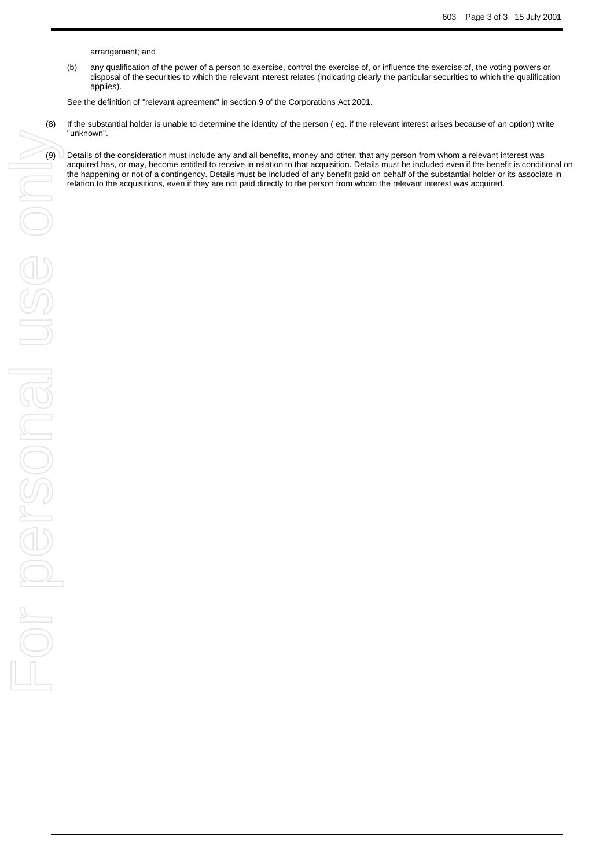arrangement; and

(b) any qualification of the power of a person to exercise, control the exercise of, or influence the exercise of, the voting powers or disposal of the securities to which the relevant interest relates (indicating clearly the particular securities to which the qualification applies).

See the definition of "relevant agreement" in section 9 of the Corporations Act 2001.

- (8) If the substantial holder is unable to determine the identity of the person ( eg. if the relevant interest arises because of an option) write "unknown".
	- acquired has, or may, become entitled to receive in relation to that acquisition. Details must be included even if the benefit is conditional on the happening or not of a contingency. Details must be included of any benefit paid on behalf of the substantial holder or its associate in relation to the acquisitions, even if they are not paid directly to the person from whom the relevant interest was acquired.